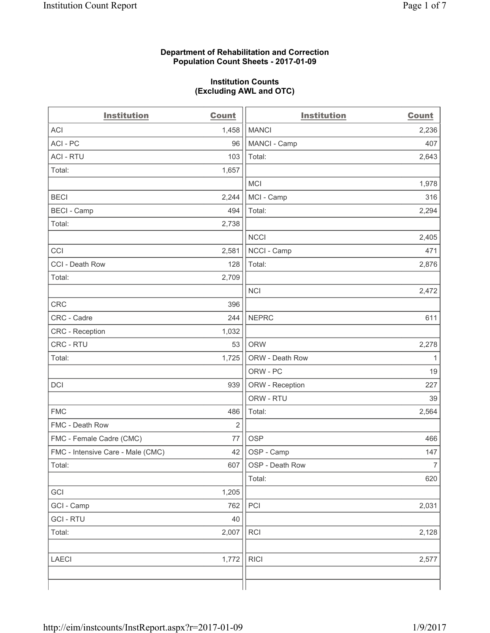#### **Department of Rehabilitation and Correction Population Count Sheets - 2017-01-09**

#### **Institution Counts (Excluding AWL and OTC)**

| <b>Institution</b>                | <b>Count</b>   | <b>Institution</b> | <b>Count</b>   |
|-----------------------------------|----------------|--------------------|----------------|
| <b>ACI</b>                        | 1,458          | <b>MANCI</b>       | 2,236          |
| ACI - PC                          | 96             | MANCI - Camp       | 407            |
| <b>ACI - RTU</b>                  | 103            | Total:             | 2,643          |
| Total:                            | 1,657          |                    |                |
|                                   |                | <b>MCI</b>         | 1,978          |
| <b>BECI</b>                       | 2,244          | MCI - Camp         | 316            |
| <b>BECI - Camp</b>                | 494            | Total:             | 2,294          |
| Total:                            | 2,738          |                    |                |
|                                   |                | <b>NCCI</b>        | 2,405          |
| CCI                               | 2,581          | NCCI - Camp        | 471            |
| CCI - Death Row                   | 128            | Total:             | 2,876          |
| Total:                            | 2,709          |                    |                |
|                                   |                | <b>NCI</b>         | 2,472          |
| <b>CRC</b>                        | 396            |                    |                |
| CRC - Cadre                       | 244            | <b>NEPRC</b>       | 611            |
| CRC - Reception                   | 1,032          |                    |                |
| CRC - RTU                         | 53             | <b>ORW</b>         | 2,278          |
| Total:                            | 1,725          | ORW - Death Row    | $\mathbf{1}$   |
|                                   |                | ORW - PC           | 19             |
| DCI                               | 939            | ORW - Reception    | 227            |
|                                   |                | ORW - RTU          | 39             |
| <b>FMC</b>                        | 486            | Total:             | 2,564          |
| FMC - Death Row                   | $\overline{2}$ |                    |                |
| FMC - Female Cadre (CMC)          | 77             | <b>OSP</b>         | 466            |
| FMC - Intensive Care - Male (CMC) | 42             | OSP - Camp         | 147            |
| Total:                            | 607            | OSP - Death Row    | $\overline{7}$ |
|                                   |                | Total:             | 620            |
| GCI                               | 1,205          |                    |                |
| GCI - Camp                        | 762            | PCI                | 2,031          |
| <b>GCI - RTU</b>                  | 40             |                    |                |
| Total:                            | 2,007          | <b>RCI</b>         | 2,128          |
|                                   |                |                    |                |
| <b>LAECI</b>                      | 1,772          | <b>RICI</b>        | 2,577          |
|                                   |                |                    |                |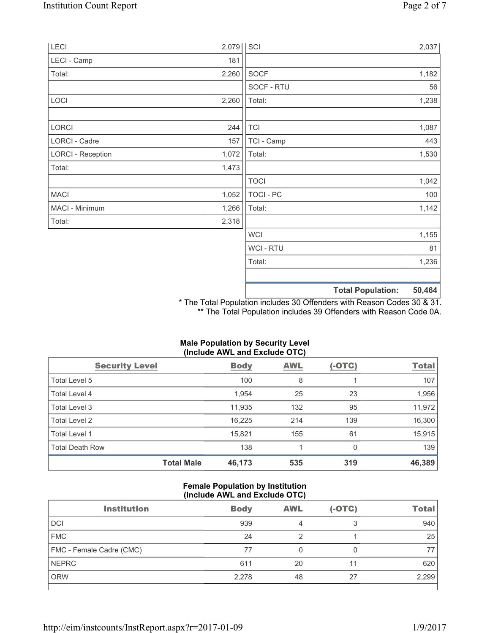| LECI                     | 2,079 | SCI         |                          | 2,037  |
|--------------------------|-------|-------------|--------------------------|--------|
| LECI - Camp              | 181   |             |                          |        |
| Total:                   | 2,260 | <b>SOCF</b> |                          | 1,182  |
|                          |       | SOCF - RTU  |                          | 56     |
| LOCI                     | 2,260 | Total:      |                          | 1,238  |
| LORCI                    | 244   | <b>TCI</b>  |                          | 1,087  |
| LORCI - Cadre            | 157   | TCI - Camp  |                          | 443    |
| <b>LORCI - Reception</b> | 1,072 | Total:      |                          | 1,530  |
| Total:                   | 1,473 |             |                          |        |
|                          |       | <b>TOCI</b> |                          | 1,042  |
| <b>MACI</b>              | 1,052 | TOCI - PC   |                          | 100    |
| MACI - Minimum           | 1,266 | Total:      |                          | 1,142  |
| Total:                   | 2,318 |             |                          |        |
|                          |       | <b>WCI</b>  |                          | 1,155  |
|                          |       | WCI - RTU   |                          | 81     |
|                          |       | Total:      |                          | 1,236  |
|                          |       |             | <b>Total Population:</b> | 50,464 |

\* The Total Population includes 30 Offenders with Reason Codes 30 & 31. \*\* The Total Population includes 39 Offenders with Reason Code 0A.

|                        | (Include AWL and Exclude OTC) |            |               |              |  |  |  |
|------------------------|-------------------------------|------------|---------------|--------------|--|--|--|
| <b>Security Level</b>  | <b>Body</b>                   | <b>AWL</b> | <u>(-OTC)</u> | <b>Total</b> |  |  |  |
| Total Level 5          | 100                           | 8          |               | 107          |  |  |  |
| Total Level 4          | 1,954                         | 25         | 23            | 1,956        |  |  |  |
| Total Level 3          | 11,935                        | 132        | 95            | 11,972       |  |  |  |
| Total Level 2          | 16,225                        | 214        | 139           | 16,300       |  |  |  |
| Total Level 1          | 15,821                        | 155        | 61            | 15,915       |  |  |  |
| <b>Total Death Row</b> | 138                           |            | 0             | 139          |  |  |  |
| <b>Total Male</b>      | 46,173                        | 535        | 319           | 46,389       |  |  |  |

# **Male Population by Security Level (Include AWL and Exclude OTC)**

# **Female Population by Institution (Include AWL and Exclude OTC)**

| <b>Institution</b>       | <b>Body</b> | <b>AWL</b> | $(-OTC)$ | <b>Total</b> |
|--------------------------|-------------|------------|----------|--------------|
| <b>DCI</b>               | 939         | 4          | 3        | 940          |
| <b>FMC</b>               | 24          |            |          | 25           |
| FMC - Female Cadre (CMC) | 77          |            |          |              |
| <b>NEPRC</b>             | 611         | 20         | 11       | 620          |
| <b>ORW</b>               | 2,278       | 48         | 27       | 2,299        |
|                          |             |            |          |              |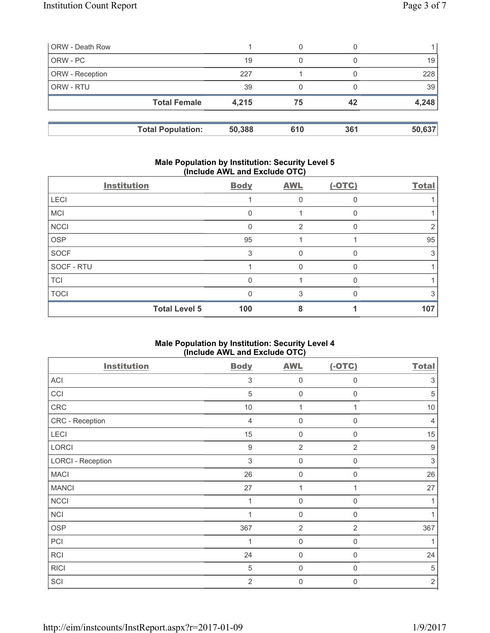| 19     | 0                                               |     | 19     |
|--------|-------------------------------------------------|-----|--------|
| 227    |                                                 |     | 228    |
| 39     |                                                 |     | 39     |
| 4,215  | 75                                              | 42  | 4,248  |
| 50,388 | 610                                             | 361 | 50,637 |
|        | <b>Total Female</b><br><b>Total Population:</b> |     |        |

### **Male Population by Institution: Security Level 5 (Include AWL and Exclude OTC)**

|             | <b>Institution</b>   | <b>Body</b>  | <b>AWL</b> | $(-OTC)$ | <b>Total</b> |
|-------------|----------------------|--------------|------------|----------|--------------|
| <b>LECI</b> |                      |              | 0          |          |              |
| <b>MCI</b>  |                      |              |            |          |              |
| <b>NCCI</b> |                      |              | 2          |          |              |
| OSP         |                      | 95           |            |          | 95           |
| <b>SOCF</b> |                      | 3            | 0          |          | 3            |
| SOCF - RTU  |                      |              | $\Omega$   |          |              |
| <b>TCI</b>  |                      |              |            |          |              |
| <b>TOCI</b> |                      | <sup>0</sup> | 3          |          | 3            |
|             | <b>Total Level 5</b> | 100          | 8          |          | 107          |

# **Male Population by Institution: Security Level 4 (Include AWL and Exclude OTC)**

| <b>Institution</b>       | <b>Body</b>      | <b>AWL</b>     | $(-OTC)$       | <b>Total</b>              |
|--------------------------|------------------|----------------|----------------|---------------------------|
| ACI                      | 3                | 0              | $\Omega$       | 3                         |
| CCI                      | $\sqrt{5}$       | $\mathbf 0$    | 0              | $\sqrt{5}$                |
| CRC                      | 10               | 1              |                | 10                        |
| CRC - Reception          | $\overline{4}$   | $\mathbf 0$    | $\mathbf 0$    | $\overline{4}$            |
| LECI                     | 15               | $\mathbf 0$    | $\mathbf 0$    | 15                        |
| LORCI                    | $\boldsymbol{9}$ | $\overline{2}$ | $\overline{2}$ | $\boldsymbol{9}$          |
| <b>LORCI - Reception</b> | $\sqrt{3}$       | $\mathbf 0$    | 0              | $\ensuremath{\mathsf{3}}$ |
| <b>MACI</b>              | 26               | $\mathbf 0$    | 0              | 26                        |
| <b>MANCI</b>             | 27               | 1              | 1              | 27                        |
| <b>NCCI</b>              | 1                | $\mathbf 0$    | $\mathbf 0$    | 1                         |
| <b>NCI</b>               | 4                | $\mathbf 0$    | $\mathbf 0$    |                           |
| <b>OSP</b>               | 367              | $\overline{2}$ | 2              | 367                       |
| PCI                      | 1                | $\mathbf 0$    | 0              | 1                         |
| <b>RCI</b>               | 24               | $\mathbf 0$    | $\mathbf 0$    | 24                        |
| <b>RICI</b>              | 5                | $\mathbf 0$    | 0              | 5                         |
| SCI                      | $\overline{2}$   | $\mathbf 0$    | 0              | $\sqrt{2}$                |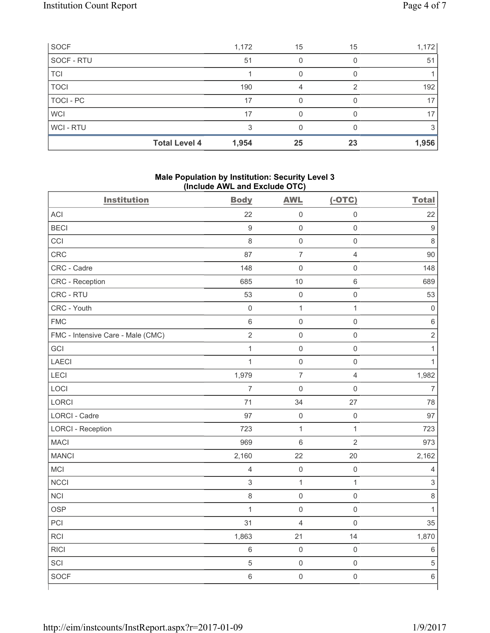| <b>SOCF</b>      |                      | 1,172 | 15 | 15 | 1,172           |
|------------------|----------------------|-------|----|----|-----------------|
| SOCF - RTU       |                      | 51    |    |    | 51              |
| <b>TCI</b>       |                      |       |    |    |                 |
| <b>TOCI</b>      |                      | 190   | 4  | っ  | 192             |
| <b>TOCI - PC</b> |                      | 17    |    |    | 17              |
| <b>WCI</b>       |                      | 17    |    |    | 17 <sup>1</sup> |
| WCI - RTU        |                      | 3     |    |    |                 |
|                  | <b>Total Level 4</b> | 1,954 | 25 | 23 | 1,956           |

### **Male Population by Institution: Security Level 3 (Include AWL and Exclude OTC)**

| <b>Institution</b>                | <b>Body</b>    | <b>AWL</b>          | $(-OTC)$                | <b>Total</b>              |
|-----------------------------------|----------------|---------------------|-------------------------|---------------------------|
| ACI                               | 22             | $\mathsf 0$         | $\mathsf 0$             | 22                        |
| <b>BECI</b>                       | $9\,$          | $\mathsf 0$         | $\mathsf 0$             | $\boldsymbol{9}$          |
| CCI                               | 8              | $\mathsf{O}\xspace$ | $\mathsf{O}\xspace$     | $\,8\,$                   |
| CRC                               | 87             | $\overline{7}$      | $\overline{4}$          | 90                        |
| CRC - Cadre                       | 148            | 0                   | $\mathsf 0$             | 148                       |
| CRC - Reception                   | 685            | 10                  | $\,6\,$                 | 689                       |
| CRC - RTU                         | 53             | $\mathsf{O}\xspace$ | $\mathsf{O}\xspace$     | 53                        |
| CRC - Youth                       | $\mathsf 0$    | $\mathbf 1$         | $\mathbf{1}$            | $\mathbf 0$               |
| <b>FMC</b>                        | $\,6\,$        | 0                   | $\mathsf{O}\xspace$     | $\,6\,$                   |
| FMC - Intensive Care - Male (CMC) | $\overline{2}$ | $\overline{0}$      | $\mathsf{O}\xspace$     | $\overline{2}$            |
| GCI                               | $\mathbf{1}$   | $\mathsf{O}\xspace$ | $\mathsf{O}\xspace$     | $\mathbf{1}$              |
| LAECI                             | $\mathbf{1}$   | $\mathsf{O}\xspace$ | $\mathsf 0$             | $\mathbf{1}$              |
| LECI                              | 1,979          | $\overline{7}$      | $\overline{\mathbf{4}}$ | 1,982                     |
| LOCI                              | $\overline{7}$ | $\mathsf{O}\xspace$ | $\mathsf{O}\xspace$     | $\overline{7}$            |
| LORCI                             | 71             | 34                  | 27                      | 78                        |
| LORCI - Cadre                     | 97             | $\mathsf{O}\xspace$ | $\mathsf{O}\xspace$     | 97                        |
| <b>LORCI - Reception</b>          | 723            | $\mathbf 1$         | $\mathbf{1}$            | 723                       |
| <b>MACI</b>                       | 969            | 6                   | $\overline{2}$          | 973                       |
| <b>MANCI</b>                      | 2,160          | 22                  | 20                      | 2,162                     |
| MCI                               | $\overline{4}$ | $\mathsf{O}\xspace$ | $\mathsf{O}\xspace$     | $\overline{4}$            |
| <b>NCCI</b>                       | $\sqrt{3}$     | $\mathbf{1}$        | $\mathbf{1}$            | $\ensuremath{\mathsf{3}}$ |
| <b>NCI</b>                        | $\,8\,$        | $\mathsf{O}\xspace$ | $\mathsf 0$             | 8                         |
| <b>OSP</b>                        | 1              | $\mathsf{O}\xspace$ | $\mathsf 0$             | $\mathbf{1}$              |
| PCI                               | 31             | 4                   | $\mathbf 0$             | 35                        |
| RCI                               | 1,863          | 21                  | 14                      | 1,870                     |
| <b>RICI</b>                       | $\,6\,$        | $\mathsf{O}\xspace$ | $\mathsf{O}\xspace$     | $\,6\,$                   |
| SCI                               | $\sqrt{5}$     | $\mathsf 0$         | $\mathsf 0$             | $\overline{5}$            |
| <b>SOCF</b>                       | $\,6\,$        | $\mathsf{O}\xspace$ | $\mathsf{O}\xspace$     | $\,6\,$                   |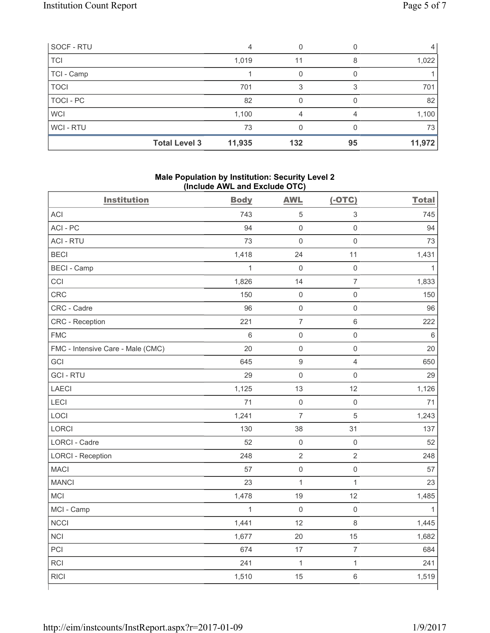| SOCF - RTU       |                      | 4      |     |    |        |
|------------------|----------------------|--------|-----|----|--------|
| <b>TCI</b>       |                      | 1,019  | 11  |    | 1,022  |
| TCI - Camp       |                      |        |     |    |        |
| <b>TOCI</b>      |                      | 701    |     |    | 701    |
| <b>TOCI - PC</b> |                      | 82     |     |    | 82     |
| <b>WCI</b>       |                      | 1,100  | 4   |    | 1,100  |
| WCI - RTU        |                      | 73     |     |    | 73     |
|                  | <b>Total Level 3</b> | 11,935 | 132 | 95 | 11,972 |

### **Male Population by Institution: Security Level 2 (Include AWL and Exclude OTC)**

| <b>Institution</b>                | <b>Body</b>    | <b>AWL</b>          | $(-OTC)$                 | <b>Total</b> |
|-----------------------------------|----------------|---------------------|--------------------------|--------------|
| ACI                               | 743            | $\,$ 5 $\,$         | $\mathsf 3$              | 745          |
| ACI-PC                            | 94             | $\mathbf 0$         | $\mathsf{O}\xspace$      | 94           |
| <b>ACI - RTU</b>                  | 73             | $\mathbf 0$         | $\mathsf{O}\xspace$      | 73           |
| <b>BECI</b>                       | 1,418          | 24                  | 11                       | 1,431        |
| <b>BECI - Camp</b>                | $\overline{1}$ | $\mathsf{O}\xspace$ | $\mathsf{O}$             | $\mathbf{1}$ |
| CCI                               | 1,826          | 14                  | $\overline{7}$           | 1,833        |
| CRC                               | 150            | $\mathsf{O}\xspace$ | $\mathsf{O}\xspace$      | 150          |
| CRC - Cadre                       | 96             | $\mathsf{O}\xspace$ | $\mathsf{O}\xspace$      | 96           |
| CRC - Reception                   | 221            | $\overline{7}$      | $\,6\,$                  | 222          |
| <b>FMC</b>                        | $6\phantom{a}$ | $\mathbf 0$         | $\mathsf{O}\xspace$      | $6\,$        |
| FMC - Intensive Care - Male (CMC) | 20             | $\mathsf{O}\xspace$ | $\mathsf{O}\xspace$      | 20           |
| GCI                               | 645            | $\boldsymbol{9}$    | $\overline{4}$           | 650          |
| <b>GCI-RTU</b>                    | 29             | $\mathbf 0$         | $\mathsf 0$              | 29           |
| <b>LAECI</b>                      | 1,125          | 13                  | 12                       | 1,126        |
| LECI                              | 71             | $\mathsf{O}\xspace$ | $\mathsf 0$              | 71           |
| LOCI                              | 1,241          | $\overline{7}$      | $\sqrt{5}$               | 1,243        |
| <b>LORCI</b>                      | 130            | 38                  | 31                       | 137          |
| LORCI - Cadre                     | 52             | $\mathsf{O}\xspace$ | $\mathsf{O}\xspace$      | 52           |
| <b>LORCI - Reception</b>          | 248            | $\sqrt{2}$          | $\overline{2}$           | 248          |
| <b>MACI</b>                       | 57             | $\mathbf 0$         | $\mathsf{O}\xspace$      | 57           |
| <b>MANCI</b>                      | 23             | $\mathbf{1}$        | $\mathbf{1}$             | 23           |
| MCI                               | 1,478          | 19                  | 12                       | 1,485        |
| MCI - Camp                        | $\mathbf{1}$   | $\mathbf 0$         | $\mathsf{O}\xspace$      | $\mathbf{1}$ |
| <b>NCCI</b>                       | 1,441          | 12                  | $\,8\,$                  | 1,445        |
| <b>NCI</b>                        | 1,677          | 20                  | 15                       | 1,682        |
| PCI                               | 674            | 17                  | $\overline{\mathcal{I}}$ | 684          |
| RCI                               | 241            | $\mathbf{1}$        | $\mathbf{1}$             | 241          |
| <b>RICI</b>                       | 1,510          | 15                  | $\,6\,$                  | 1,519        |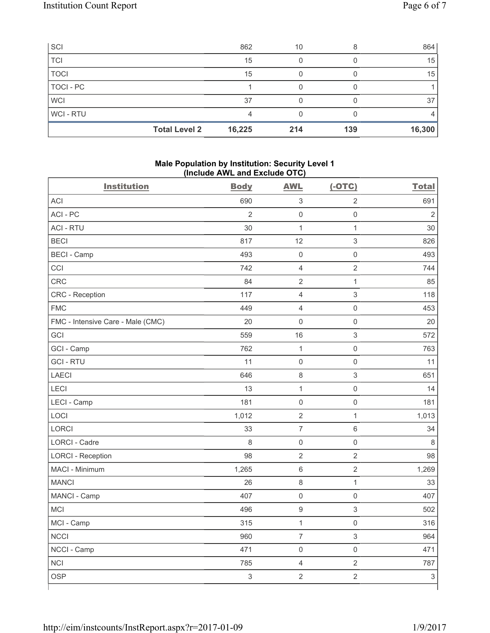| SCI         |                      | 862    | 10  |     | 864    |
|-------------|----------------------|--------|-----|-----|--------|
| <b>TCI</b>  |                      | 15     |     |     | 15     |
| <b>TOCI</b> |                      | 15     |     |     | 15     |
| TOCI - PC   |                      |        |     |     |        |
| <b>WCI</b>  |                      | 37     |     |     | 37     |
| WCI - RTU   |                      |        |     |     |        |
|             | <b>Total Level 2</b> | 16,225 | 214 | 139 | 16,300 |

#### **Male Population by Institution: Security Level 1 (Include AWL and Exclude OTC)**

| <b>Institution</b>                | <b>Body</b>               | <b>AWL</b>          | $(-OTC)$                  | <b>Total</b>   |
|-----------------------------------|---------------------------|---------------------|---------------------------|----------------|
| <b>ACI</b>                        | 690                       | $\sqrt{3}$          | $\overline{2}$            | 691            |
| ACI-PC                            | $\overline{2}$            | $\mathbf 0$         | $\mathsf 0$               | $\overline{2}$ |
| <b>ACI - RTU</b>                  | 30                        | $\mathbf{1}$        | $\mathbf{1}$              | 30             |
| <b>BECI</b>                       | 817                       | 12                  | $\ensuremath{\mathsf{3}}$ | 826            |
| <b>BECI</b> - Camp                | 493                       | $\mathsf{O}\xspace$ | $\mathsf{O}\xspace$       | 493            |
| CCI                               | 742                       | $\overline{4}$      | $\overline{2}$            | 744            |
| <b>CRC</b>                        | 84                        | $\sqrt{2}$          | $\mathbf{1}$              | 85             |
| CRC - Reception                   | 117                       | $\overline{4}$      | $\mathsf 3$               | 118            |
| <b>FMC</b>                        | 449                       | $\overline{4}$      | $\mathsf 0$               | 453            |
| FMC - Intensive Care - Male (CMC) | 20                        | $\mathsf{O}\xspace$ | $\mathsf 0$               | 20             |
| GCI                               | 559                       | 16                  | $\ensuremath{\mathsf{3}}$ | 572            |
| GCI - Camp                        | 762                       | $\mathbf{1}$        | $\mathsf{O}\xspace$       | 763            |
| <b>GCI-RTU</b>                    | 11                        | $\mathsf{O}\xspace$ | $\mathsf{O}\xspace$       | 11             |
| <b>LAECI</b>                      | 646                       | $\,8\,$             | $\ensuremath{\mathsf{3}}$ | 651            |
| LECI                              | 13                        | $\mathbf{1}$        | $\mathsf{O}\xspace$       | 14             |
| LECI - Camp                       | 181                       | $\mathsf{O}\xspace$ | $\mathbf 0$               | 181            |
| LOCI                              | 1,012                     | $\sqrt{2}$          | $\mathbf{1}$              | 1,013          |
| <b>LORCI</b>                      | 33                        | $\overline{7}$      | $\,6\,$                   | 34             |
| <b>LORCI - Cadre</b>              | 8                         | $\mathsf 0$         | $\mathsf{O}\xspace$       | 8              |
| <b>LORCI - Reception</b>          | 98                        | $\sqrt{2}$          | $\sqrt{2}$                | 98             |
| MACI - Minimum                    | 1,265                     | $\,6\,$             | $\sqrt{2}$                | 1,269          |
| <b>MANCI</b>                      | 26                        | 8                   | $\mathbf{1}$              | 33             |
| MANCI - Camp                      | 407                       | $\mathsf{O}\xspace$ | $\mathbf 0$               | 407            |
| <b>MCI</b>                        | 496                       | $\boldsymbol{9}$    | $\sqrt{3}$                | 502            |
| MCI - Camp                        | 315                       | $\mathbf{1}$        | $\mathsf{O}\xspace$       | 316            |
| <b>NCCI</b>                       | 960                       | $\overline{7}$      | $\ensuremath{\mathsf{3}}$ | 964            |
| NCCI - Camp                       | 471                       | $\mathsf 0$         | $\mathsf{O}\xspace$       | 471            |
| <b>NCI</b>                        | 785                       | $\overline{4}$      | $\sqrt{2}$                | 787            |
| <b>OSP</b>                        | $\ensuremath{\mathsf{3}}$ | $\overline{2}$      | $\overline{2}$            | $\mathsf 3$    |